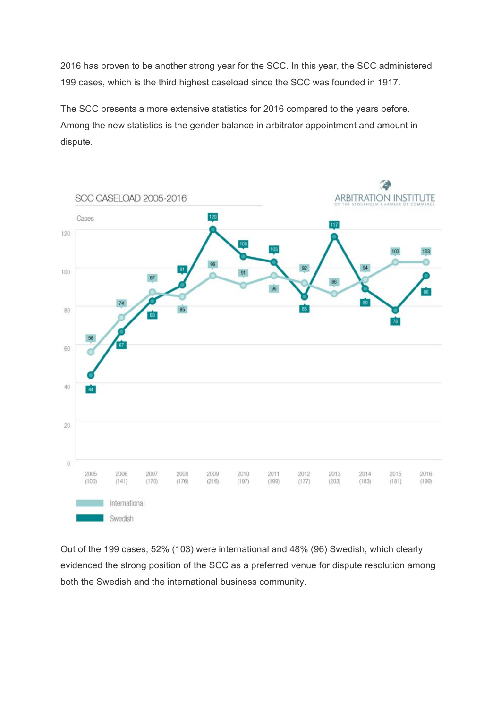2016 has proven to be another strong year for the SCC. In this year, the SCC administered 199 cases, which is the third highest caseload since the SCC was founded in 1917.

The SCC presents a more extensive statistics for 2016 compared to the years before. Among the new statistics is the gender balance in arbitrator appointment and amount in dispute.



Out of the 199 cases, 52% (103) were international and 48% (96) Swedish, which clearly evidenced the strong position of the SCC as a preferred venue for dispute resolution among both the Swedish and the international business community.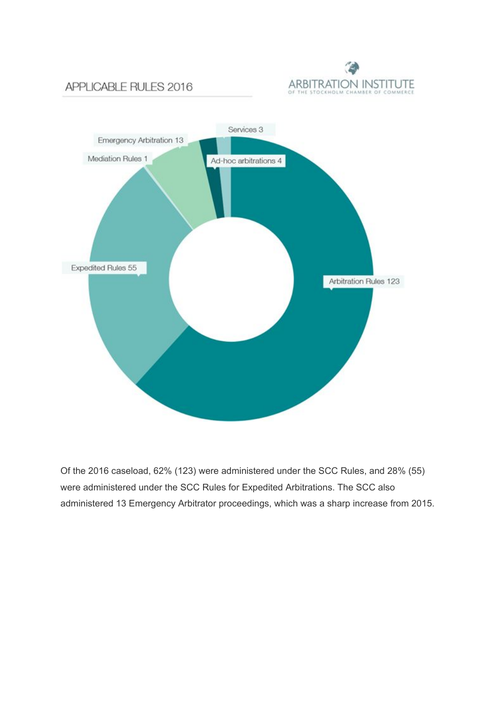

# APPLICABLE RULES 2016



Of the 2016 caseload, 62% (123) were administered under the SCC Rules, and 28% (55) were administered under the SCC Rules for Expedited Arbitrations. The SCC also administered 13 Emergency Arbitrator proceedings, which was a sharp increase from 2015.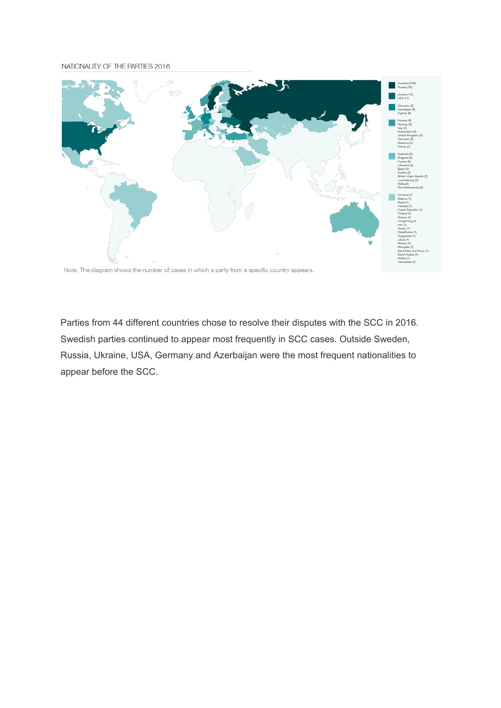#### NATIONALITY OF THE PARTIES 2016



Note: The diagram shows the number of cases in which a party from a specific country appears.

Parties from 44 different countries chose to resolve their disputes with the SCC in 2016. Swedish parties continued to appear most frequently in SCC cases. Outside Sweden, Russia, Ukraine, USA, Germany and Azerbaijan were the most frequent nationalities to appear before the SCC.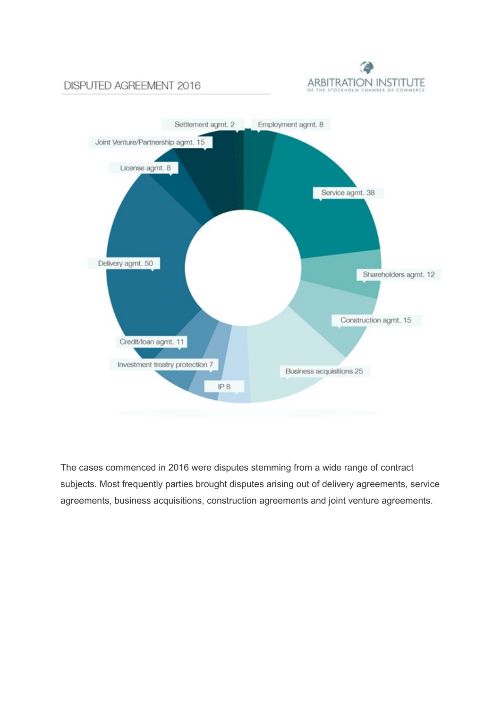

### DISPUTED AGREEMENT 2016



The cases commenced in 2016 were disputes stemming from a wide range of contract subjects. Most frequently parties brought disputes arising out of delivery agreements, service agreements, business acquisitions, construction agreements and joint venture agreements.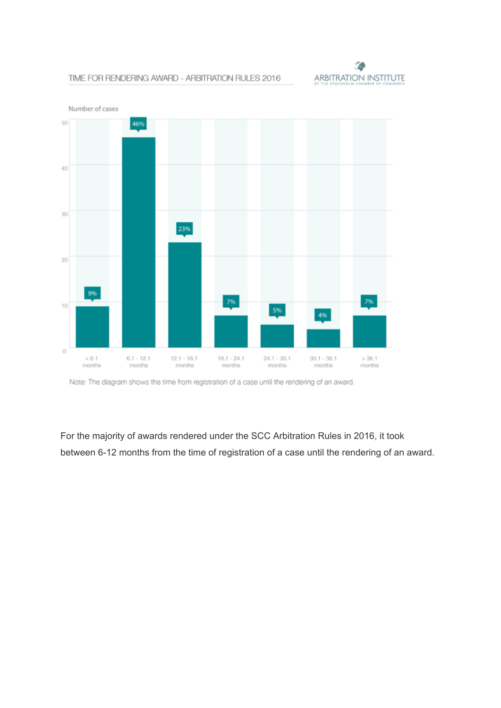

#### TIME FOR RENDERING AWARD - ARBITRATION RULES 2016



Note: The diagram shows the time from registration of a case until the rendering of an award.

For the majority of awards rendered under the SCC Arbitration Rules in 2016, it took between 6-12 months from the time of registration of a case until the rendering of an award.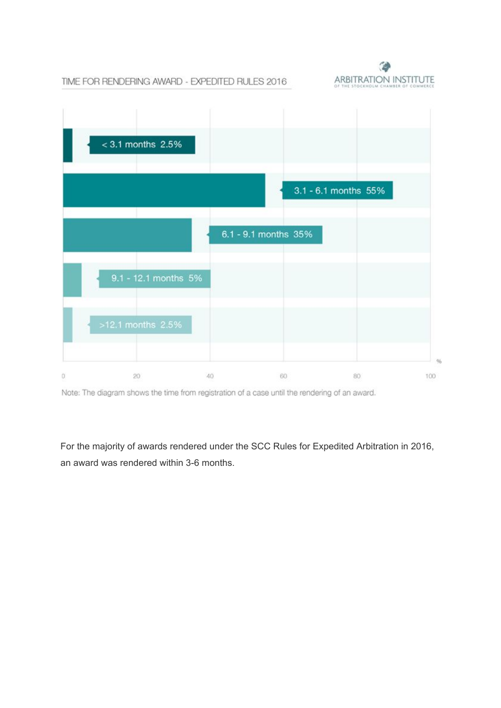TIME FOR RENDERING AWARD - EXPEDITED RULES 2016





Note: The diagram shows the time from registration of a case until the rendering of an award.

For the majority of awards rendered under the SCC Rules for Expedited Arbitration in 2016, an award was rendered within 3-6 months.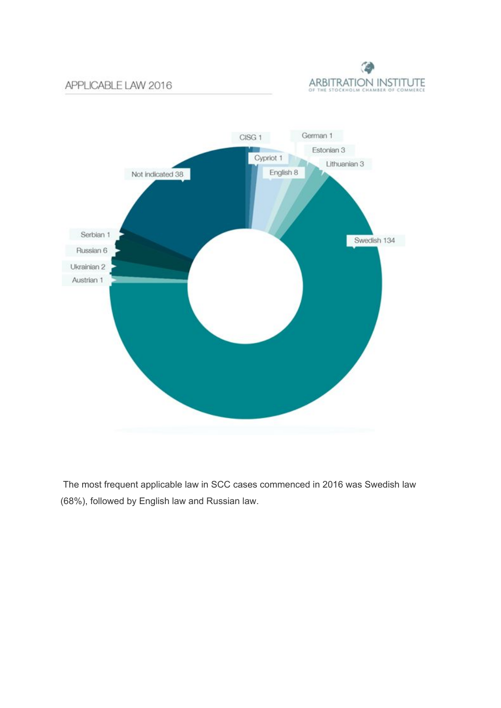## APPLICABLE LAW 2016





The most frequent applicable law in SCC cases commenced in 2016 was Swedish law (68%), followed by English law and Russian law.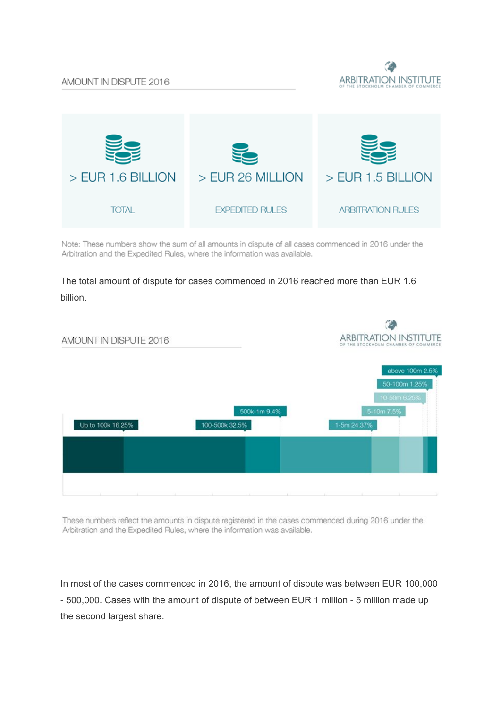



Note: These numbers show the sum of all amounts in dispute of all cases commenced in 2016 under the Arbitration and the Expedited Rules, where the information was available.

## The total amount of dispute for cases commenced in 2016 reached more than EUR 1.6 billion.



These numbers reflect the amounts in dispute registered in the cases commenced during 2016 under the Arbitration and the Expedited Rules, where the information was available.

In most of the cases commenced in 2016, the amount of dispute was between EUR 100,000 - 500,000. Cases with the amount of dispute of between EUR 1 million - 5 million made up the second largest share.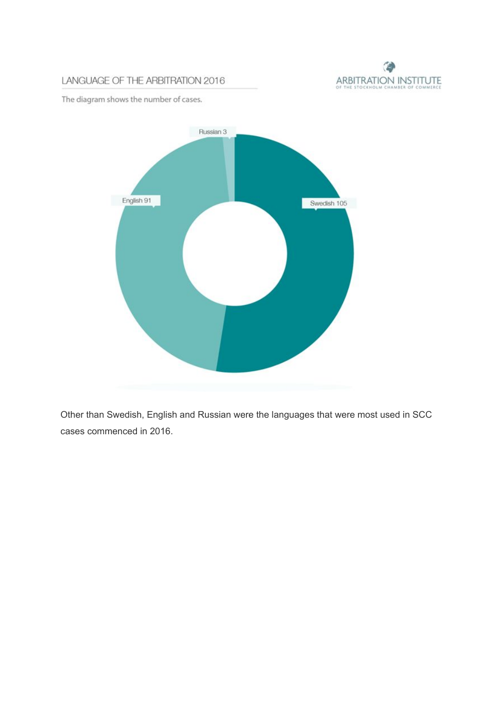

## LANGUAGE OF THE ARBITRATION 2016

The diagram shows the number of cases.



Other than Swedish, English and Russian were the languages that were most used in SCC cases commenced in 2016.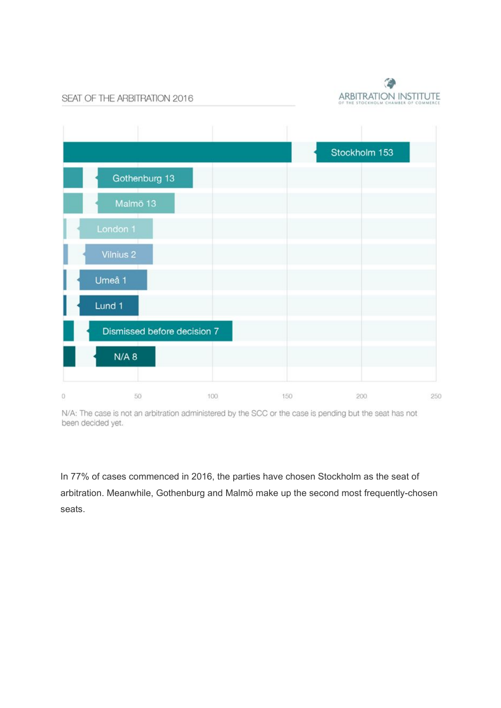

SEAT OF THE ARBITRATION 2016



N/A: The case is not an arbitration administered by the SCC or the case is pending but the seat has not been decided yet.

In 77% of cases commenced in 2016, the parties have chosen Stockholm as the seat of arbitration. Meanwhile, Gothenburg and Malmö make up the second most frequently-chosen seats.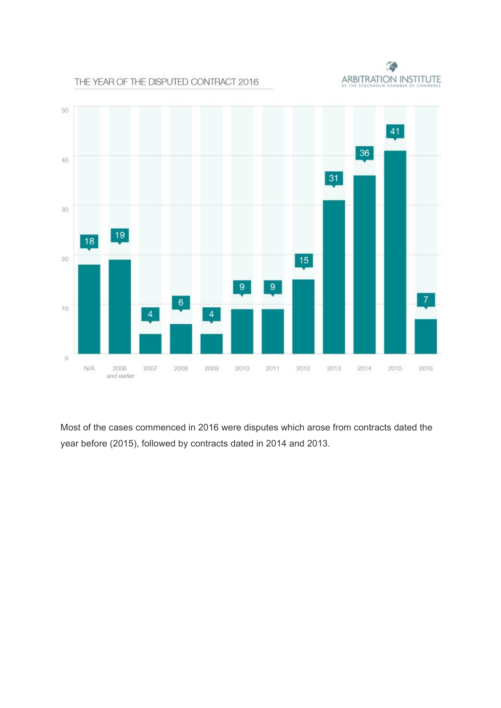

#### THE YEAR OF THE DISPUTED CONTRACT 2016



Most of the cases commenced in 2016 were disputes which arose from contracts dated the year before (2015), followed by contracts dated in 2014 and 2013.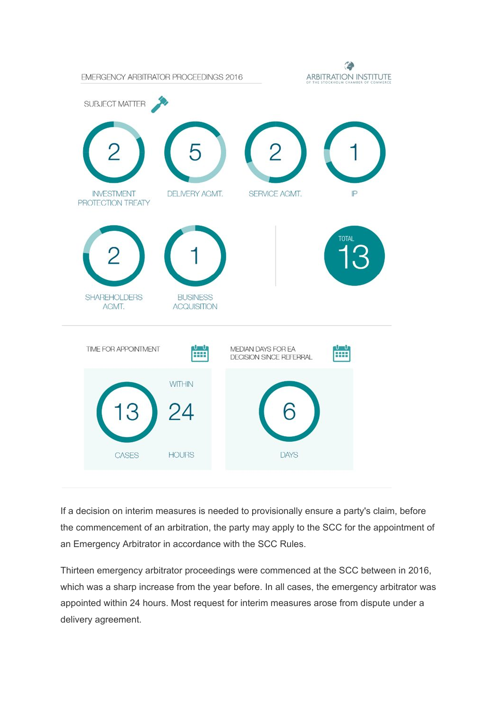

If a decision on interim measures is needed to provisionally ensure a party's claim, before the commencement of an arbitration, the party may apply to the SCC for the appointment of an Emergency Arbitrator in accordance with the SCC Rules.

Thirteen emergency arbitrator proceedings were commenced at the SCC between in 2016, which was a sharp increase from the year before. In all cases, the emergency arbitrator was appointed within 24 hours. Most request for interim measures arose from dispute under a delivery agreement.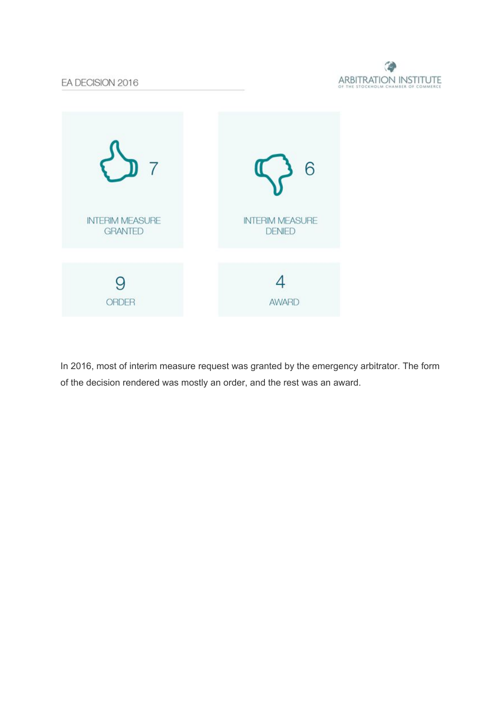



In 2016, most of interim measure request was granted by the emergency arbitrator. The form of the decision rendered was mostly an order, and the rest was an award.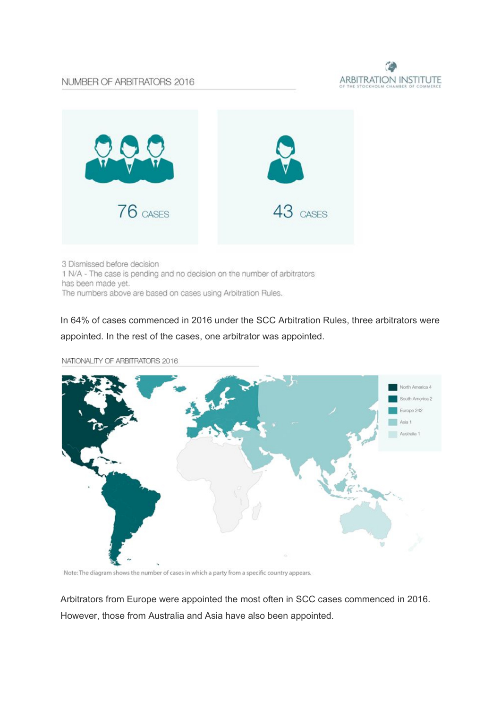#### NUMBER OF ARBITRATORS 2016





3 Dismissed before decision 1 N/A - The case is pending and no decision on the number of arbitrators has been made yet. The numbers above are based on cases using Arbitration Rules.

In 64% of cases commenced in 2016 under the SCC Arbitration Rules, three arbitrators were appointed. In the rest of the cases, one arbitrator was appointed.



NATIONALITY OF ARBITRATORS 2016

Note: The diagram shows the number of cases in which a party from a specific country appears.

Arbitrators from Europe were appointed the most often in SCC cases commenced in 2016. However, those from Australia and Asia have also been appointed.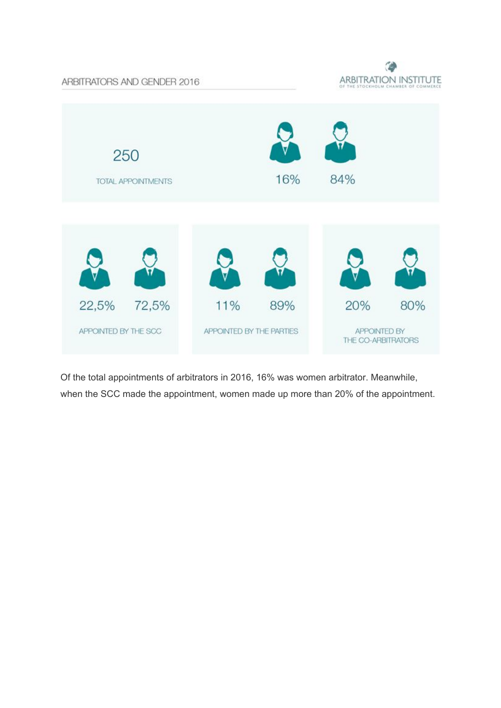ARBITRATORS AND GENDER 2016





Of the total appointments of arbitrators in 2016, 16% was women arbitrator. Meanwhile, when the SCC made the appointment, women made up more than 20% of the appointment.